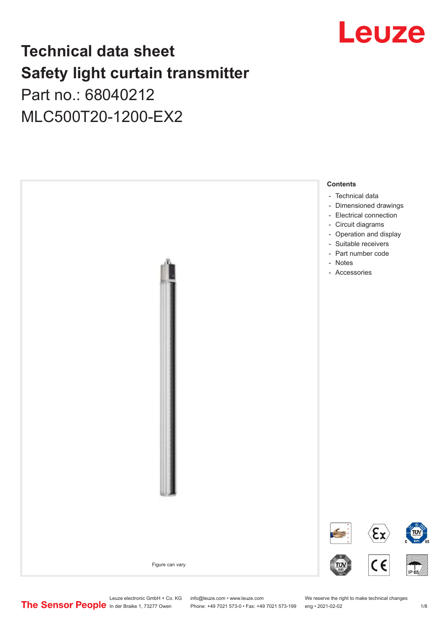

## **Technical data sheet Safety light curtain transmitter** Part no.: 68040212

MLC500T20-1200-EX2



Leuze electronic GmbH + Co. KG info@leuze.com • www.leuze.com We reserve the right to make technical changes<br>
The Sensor People in der Braike 1, 73277 Owen Phone: +49 7021 573-0 • Fax: +49 7021 573-199 eng • 2021-02-02

Phone: +49 7021 573-0 • Fax: +49 7021 573-199 eng • 2021-02-02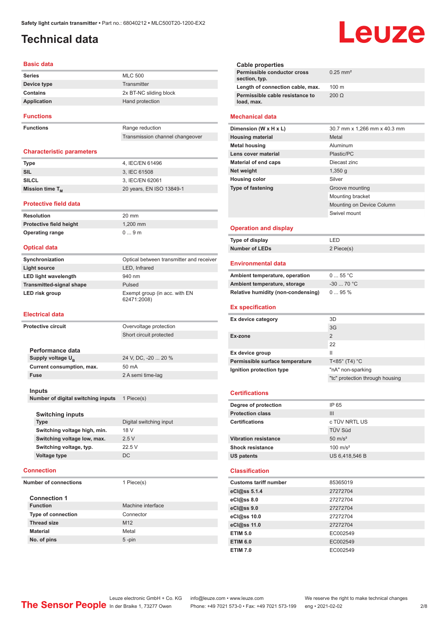## <span id="page-1-0"></span>**Technical data**

#### **Basic data**

| <b>Series</b>    | <b>MLC 500</b>         |
|------------------|------------------------|
| Device type      | Transmitter            |
| Contains         | 2x BT-NC sliding block |
| Application      | Hand protection        |
| <b>Functions</b> |                        |

**Functions** Range reduction

Transmission channel changeover

#### **Characteristic parameters**

| <b>Type</b>          | 4. IEC/EN 61496          |
|----------------------|--------------------------|
| SIL                  | 3. IEC 61508             |
| SILCL                | 3. IEC/EN 62061          |
| Mission time $T_{M}$ | 20 years, EN ISO 13849-1 |

#### **Protective field data**

**Resolution** 20 mm **Protective field height** 1,200 mm **Operating range** 0 ... 9 m

#### **Optical data**

| Synchronization                 | Optical between transmitter and receiver     |
|---------------------------------|----------------------------------------------|
| Light source                    | LED, Infrared                                |
| LED light wavelength            | 940 nm                                       |
| <b>Transmitted-signal shape</b> | Pulsed                                       |
| LED risk group                  | Exempt group (in acc. with EN<br>62471:2008) |

#### **Electrical data**

| <b>Protective circuit</b> |                                    | Overvoltage protection  |
|---------------------------|------------------------------------|-------------------------|
|                           |                                    | Short circuit protected |
|                           |                                    |                         |
|                           | Performance data                   |                         |
|                           | Supply voltage U <sub>B</sub>      | 24 V, DC, -20  20 %     |
|                           | Current consumption, max.          | 50 mA                   |
|                           | <b>Fuse</b>                        | 2 A semi time-lag       |
|                           |                                    |                         |
|                           | Inputs                             |                         |
|                           | Number of digital switching inputs | 1 Piece(s)              |
|                           |                                    |                         |
|                           | <b>Switching inputs</b>            |                         |
|                           | <b>Type</b>                        | Digital switching input |
|                           | Switching voltage high, min.       | 18 V                    |
|                           | Switching voltage low, max.        | 2.5V                    |
|                           | Switching voltage, typ.            | 22.5 V                  |
|                           | Voltage type                       | <b>DC</b>               |
|                           | <b>Connection</b>                  |                         |
|                           | <b>Number of connections</b>       | 1 Piece(s)              |
|                           | <b>Connection 1</b>                |                         |

| <b>Function</b>           | Machine interface |
|---------------------------|-------------------|
| <b>Type of connection</b> | Connector         |
| <b>Thread size</b>        | M <sub>12</sub>   |
| <b>Material</b>           | Metal             |
| No. of pins               | $5$ -pin          |

| <b>Cable properties</b><br>Permissible conductor cross<br>section, typ. | $0.25$ mm <sup>2</sup>          |
|-------------------------------------------------------------------------|---------------------------------|
| Length of connection cable, max.                                        | 100 m                           |
| Permissible cable resistance to<br>load, max.                           | $200 \Omega$                    |
| <b>Mechanical data</b>                                                  |                                 |
| Dimension (W x H x L)                                                   | 30.7 mm x 1,266 mm x 40.3 mm    |
| <b>Housing material</b>                                                 | Metal                           |
| <b>Metal housing</b>                                                    | Aluminum                        |
| Lens cover material                                                     | Plastic/PC                      |
| <b>Material of end caps</b>                                             | Diecast zinc                    |
| Net weight                                                              | 1,350q                          |
| <b>Housing color</b>                                                    | Silver                          |
| <b>Type of fastening</b>                                                | Groove mounting                 |
|                                                                         | Mounting bracket                |
|                                                                         | Mounting on Device Column       |
|                                                                         | Swivel mount                    |
|                                                                         |                                 |
| <b>Operation and display</b>                                            |                                 |
| Type of display                                                         | LED                             |
| <b>Number of LEDs</b>                                                   | 2 Piece(s)                      |
| <b>Environmental data</b>                                               |                                 |
| Ambient temperature, operation                                          | 055 °C                          |
| Ambient temperature, storage                                            | $-30$ 70 °C                     |
| Relative humidity (non-condensing)                                      | 095%                            |
| <b>Ex specification</b>                                                 |                                 |
| Ex device category                                                      | 3D                              |
|                                                                         | 3G                              |
| Ex-zone                                                                 | $\overline{2}$                  |
|                                                                         | 22                              |
| Ex device group                                                         | Ш                               |
| Permissible surface temperature                                         | T<85° (T4) °C                   |
| Ignition protection type                                                | "nA" non-sparking               |
|                                                                         | "tc" protection through housing |

Leuze

#### **Degree of protection** IP 65 **Protection class** III **Certifications** c TÜV NRTL US TÜV Süd **Vibration resistance** 50 m/s<sup>2</sup> Shock resistance 100 m/s<sup>2</sup> **US patents** US 6,418,546 B

#### **Classification**

| <b>Customs tariff number</b> | 85365019 |  |
|------------------------------|----------|--|
| eCl@ss 5.1.4                 | 27272704 |  |
| eCl@ss 8.0                   | 27272704 |  |
| eCl@ss 9.0                   | 27272704 |  |
| eCl@ss 10.0                  | 27272704 |  |
| eCl@ss 11.0                  | 27272704 |  |
| <b>ETIM 5.0</b>              | EC002549 |  |
| <b>ETIM 6.0</b>              | EC002549 |  |
| <b>ETIM 7.0</b>              | EC002549 |  |

Leuze electronic GmbH + Co. KG info@leuze.com • www.leuze.com We reserve the right to make technical changes<br> **The Sensor People** In der Braike 1, 73277 Owen Phone: +49 7021 573-0 • Fax: +49 7021 573-199 eng • 2021-02-02

Phone: +49 7021 573-0 • Fax: +49 7021 573-199 eng • 2021-02-02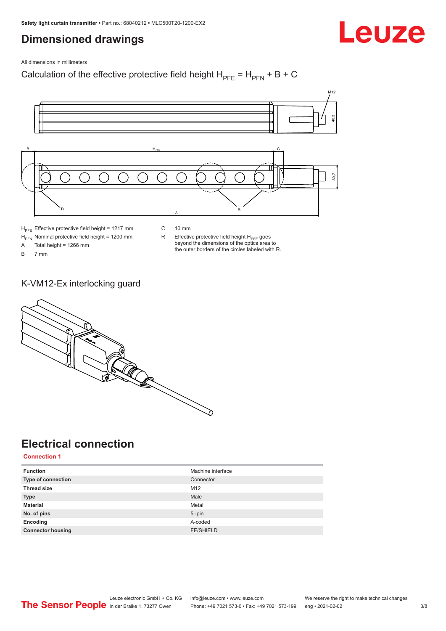## <span id="page-2-0"></span>**Dimensioned drawings**

Leuze

All dimensions in millimeters

Calculation of the effective protective field height  $H_{PFE} = H_{PFN} + B + C$ 



 $H<sub>PFE</sub>$  Effective protective field height = 1217 mm

C 10 mm

 $H_{\text{PFN}}$  Nominal protective field height = 1200 mm<br>A Total height = 1266 mm

Total height = 1266 mm

B 7 mm

 $R$  Effective protective field height  $H_{PFE}$  goes beyond the dimensions of the optics area to the outer borders of the circles labeled with R.

K-VM12-Ex interlocking guard



## **Electrical connection**

**Connection 1**

| <b>Function</b>          | Machine interface |
|--------------------------|-------------------|
| Type of connection       | Connector         |
| <b>Thread size</b>       | M12               |
| <b>Type</b>              | Male              |
| <b>Material</b>          | Metal             |
| No. of pins              | $5$ -pin          |
| Encoding                 | A-coded           |
| <b>Connector housing</b> | <b>FE/SHIELD</b>  |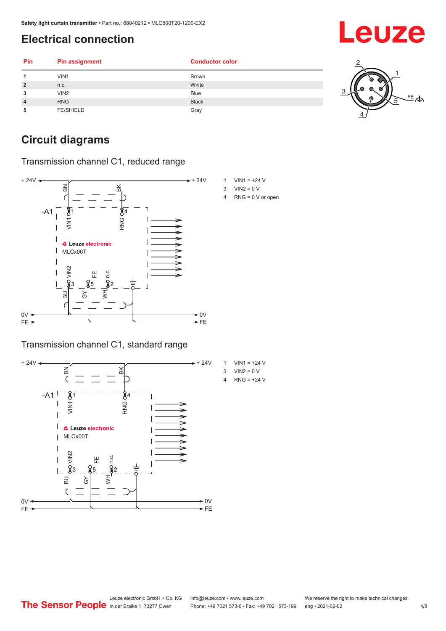## <span id="page-3-0"></span>**Electrical connection**

| Pin            | <b>Pin assignment</b> | <b>Conductor color</b> |    |
|----------------|-----------------------|------------------------|----|
| 4              | VIN1                  | <b>Brown</b>           |    |
| $\overline{2}$ | n.c.                  | White                  |    |
| 3              | VIN2                  | <b>Blue</b>            |    |
| $\overline{4}$ | <b>RNG</b>            | <b>Black</b>           | 写今 |
| 5              | <b>FE/SHIELD</b>      | Gray                   |    |

## **Circuit diagrams**

Transmission channel C1, reduced range



### Transmission channel C1, standard range





- $3$  VIN2 = 0 V
- 4 RNG = 0 V or open

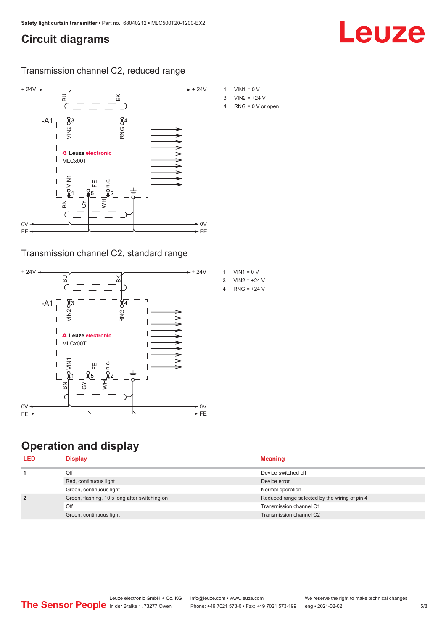## <span id="page-4-0"></span>**Circuit diagrams**

#### Transmission channel C2, reduced range



### Transmission channel C2, standard range



## **Operation and display**

- 
- 4 RNG = 0 V or open

Leuze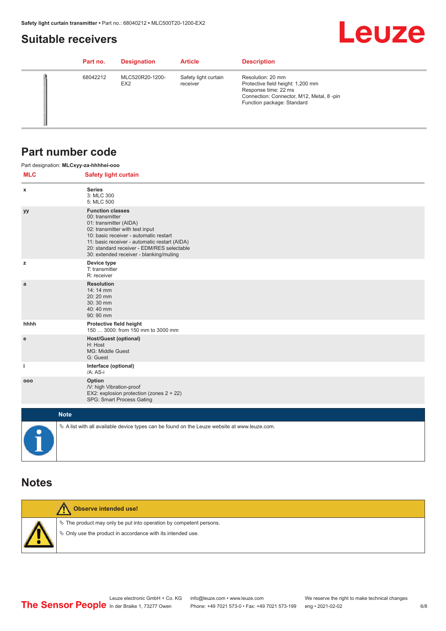## <span id="page-5-0"></span>**Suitable receivers**

# **Leuze**

| Part no. | <b>Designation</b>                 | <b>Article</b>                   | <b>Description</b>                                                                                                                                       |
|----------|------------------------------------|----------------------------------|----------------------------------------------------------------------------------------------------------------------------------------------------------|
| 68042212 | MLC520R20-1200-<br>EX <sub>2</sub> | Safety light curtain<br>receiver | Resolution: 20 mm<br>Protective field height: 1,200 mm<br>Response time: 22 ms<br>Connection: Connector, M12, Metal, 8-pin<br>Function package: Standard |

## **Part number code**

|            | Part designation: MLCxyy-za-hhhhei-ooo                                                                                                                                                                                                                                                      |
|------------|---------------------------------------------------------------------------------------------------------------------------------------------------------------------------------------------------------------------------------------------------------------------------------------------|
| <b>MLC</b> | <b>Safety light curtain</b>                                                                                                                                                                                                                                                                 |
| x          | <b>Series</b><br>3: MLC 300<br>5: MLC 500                                                                                                                                                                                                                                                   |
| yy         | <b>Function classes</b><br>00: transmitter<br>01: transmitter (AIDA)<br>02: transmitter with test input<br>10: basic receiver - automatic restart<br>11: basic receiver - automatic restart (AIDA)<br>20: standard receiver - EDM/RES selectable<br>30: extended receiver - blanking/muting |
| z          | Device type<br>T: transmitter<br>R: receiver                                                                                                                                                                                                                                                |
| a          | <b>Resolution</b><br>14: 14 mm<br>20:20 mm<br>30:30 mm<br>40:40 mm<br>90: 90 mm                                                                                                                                                                                                             |
| hhhh       | Protective field height<br>150  3000: from 150 mm to 3000 mm                                                                                                                                                                                                                                |
| e          | <b>Host/Guest (optional)</b><br>H: Host<br>MG: Middle Guest<br>G: Guest                                                                                                                                                                                                                     |
| j.         | Interface (optional)<br>/A: AS-i                                                                                                                                                                                                                                                            |
| 000        | Option<br>/V: high Vibration-proof<br>EX2: explosion protection (zones 2 + 22)<br>SPG: Smart Process Gating                                                                                                                                                                                 |
|            | <b>Note</b>                                                                                                                                                                                                                                                                                 |
| $\bullet$  | $\&$ A list with all available device types can be found on the Leuze website at www.leuze.com.                                                                                                                                                                                             |

## **Notes**

| Observe intended use!                                                                                                                |
|--------------------------------------------------------------------------------------------------------------------------------------|
| $\&$ The product may only be put into operation by competent persons.<br>§ Only use the product in accordance with its intended use. |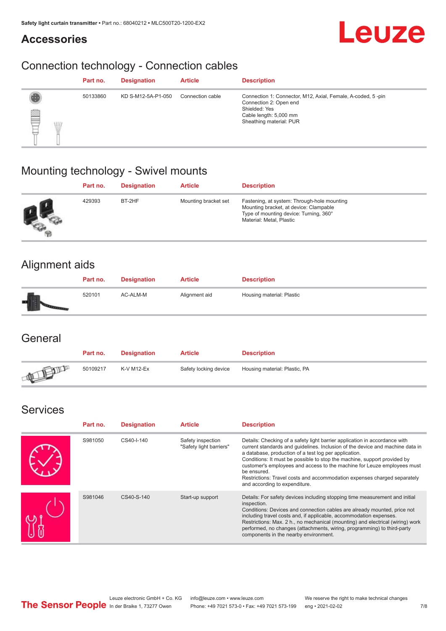## **Accessories**



## Connection technology - Connection cables

|                | Part no. | <b>Designation</b> | <b>Article</b>   | <b>Description</b>                                                                                                                                          |
|----------------|----------|--------------------|------------------|-------------------------------------------------------------------------------------------------------------------------------------------------------------|
| ▤<br>VII.<br>U | 50133860 | KD S-M12-5A-P1-050 | Connection cable | Connection 1: Connector, M12, Axial, Female, A-coded, 5-pin<br>Connection 2: Open end<br>Shielded: Yes<br>Cable length: 5,000 mm<br>Sheathing material: PUR |

## Mounting technology - Swivel mounts

| Part no. | <b>Designation</b> | <b>Article</b>       | <b>Description</b>                                                                                                                                          |
|----------|--------------------|----------------------|-------------------------------------------------------------------------------------------------------------------------------------------------------------|
| 429393   | BT-2HF             | Mounting bracket set | Fastening, at system: Through-hole mounting<br>Mounting bracket, at device: Clampable<br>Type of mounting device: Turning, 360°<br>Material: Metal, Plastic |

## Alignment aids

| Part no. | <b>Designation</b> | <b>Article</b> | <b>Description</b>        |
|----------|--------------------|----------------|---------------------------|
| 520101   | AC-ALM-M           | Alignment aid  | Housing material: Plastic |

## **General**

|               | Part no. | <b>Designation</b> | <b>Article</b>        | <b>Description</b>            |
|---------------|----------|--------------------|-----------------------|-------------------------------|
| <b>ATELIA</b> | 50109217 | K-V M12-Ex         | Safety locking device | Housing material: Plastic, PA |

## Services

| Part no. | <b>Designation</b> | <b>Article</b>                               | <b>Description</b>                                                                                                                                                                                                                                                                                                                                                                                                                                                                                      |
|----------|--------------------|----------------------------------------------|---------------------------------------------------------------------------------------------------------------------------------------------------------------------------------------------------------------------------------------------------------------------------------------------------------------------------------------------------------------------------------------------------------------------------------------------------------------------------------------------------------|
| S981050  | CS40-I-140         | Safety inspection<br>"Safety light barriers" | Details: Checking of a safety light barrier application in accordance with<br>current standards and guidelines. Inclusion of the device and machine data in<br>a database, production of a test log per application.<br>Conditions: It must be possible to stop the machine, support provided by<br>customer's employees and access to the machine for Leuze employees must<br>be ensured.<br>Restrictions: Travel costs and accommodation expenses charged separately<br>and according to expenditure. |
| S981046  | CS40-S-140         | Start-up support                             | Details: For safety devices including stopping time measurement and initial<br>inspection.<br>Conditions: Devices and connection cables are already mounted, price not<br>including travel costs and, if applicable, accommodation expenses.<br>Restrictions: Max. 2 h., no mechanical (mounting) and electrical (wiring) work<br>performed, no changes (attachments, wiring, programming) to third-party<br>components in the nearby environment.                                                      |